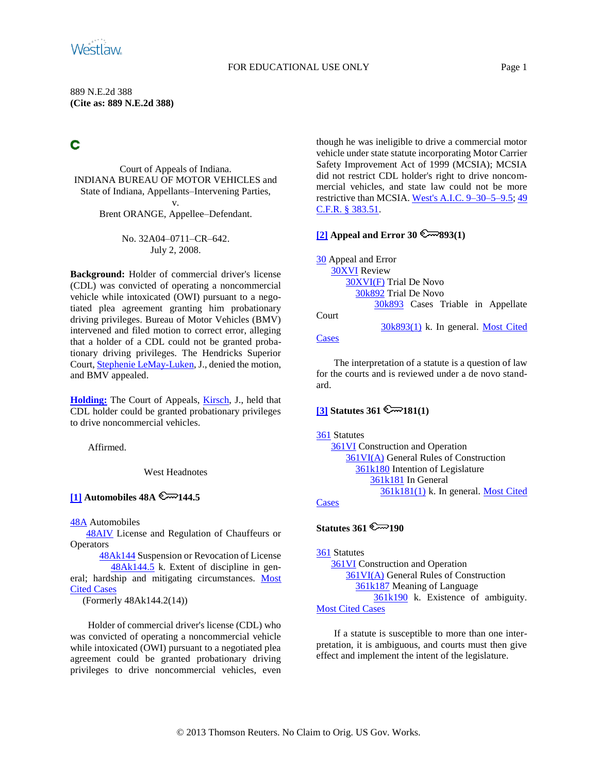### FOR EDUCATIONAL USE ONLY Page 1

889 N.E.2d 388 **(Cite as: 889 N.E.2d 388)**

# C

Court of Appeals of Indiana. INDIANA BUREAU OF MOTOR VEHICLES and State of Indiana, Appellants–Intervening Parties, v.

Brent ORANGE, Appellee–Defendant.

No. 32A04–0711–CR–642. July 2, 2008.

**Background:** Holder of commercial driver's license (CDL) was convicted of operating a noncommercial vehicle while intoxicated (OWI) pursuant to a negotiated plea agreement granting him probationary driving privileges. Bureau of Motor Vehicles (BMV) intervened and filed motion to correct error, alleging that a holder of a CDL could not be granted probationary driving privileges. The Hendricks Superior Court[, Stephenie LeMay-Luken,](http://www.westlaw.com/Find/Default.wl?rs=dfa1.0&vr=2.0&DB=PROFILER-WLD&DocName=0110554201&FindType=h) J., denied the motion, and BMV appealed.

**[Holding:](#page-1-0)** The Court of Appeals, [Kirsch,](http://www.westlaw.com/Find/Default.wl?rs=dfa1.0&vr=2.0&DB=PROFILER-WLD&DocName=0169261001&FindType=h) J., held that CDL holder could be granted probationary privileges to drive noncommercial vehicles.

Affirmed.

West Headnotes

# <span id="page-0-0"></span> $\boxed{1}$  Automobiles 48A  $\mathbb{C}$ <sup>2</sup>144.5

[48A](http://www.westlaw.com/KeyNumber/Default.wl?rs=dfa1.0&vr=2.0&CMD=KEY&DocName=48A) Automobiles

[48AIV](http://www.westlaw.com/KeyNumber/Default.wl?rs=dfa1.0&vr=2.0&CMD=KEY&DocName=48AIV) License and Regulation of Chauffeurs or **Operators** 

[48Ak144](http://www.westlaw.com/KeyNumber/Default.wl?rs=dfa1.0&vr=2.0&CMD=KEY&DocName=48Ak144) Suspension or Revocation of License [48Ak144.5](http://www.westlaw.com/KeyNumber/Default.wl?rs=dfa1.0&vr=2.0&CMD=KEY&DocName=48Ak144.5) k. Extent of discipline in general; hardship and mitigating circumstances. [Most](http://www.westlaw.com/Digest/Default.wl?rs=dfa1.0&vr=2.0&CMD=MCC&DocName=48Ak144.5)  [Cited Cases](http://www.westlaw.com/Digest/Default.wl?rs=dfa1.0&vr=2.0&CMD=MCC&DocName=48Ak144.5)

(Formerly 48Ak144.2(14))

Holder of commercial driver's license (CDL) who was convicted of operating a noncommercial vehicle while intoxicated (OWI) pursuant to a negotiated plea agreement could be granted probationary driving privileges to drive noncommercial vehicles, even though he was ineligible to drive a commercial motor vehicle under state statute incorporating Motor Carrier Safety Improvement Act of 1999 (MCSIA); MCSIA did not restrict CDL holder's right to drive noncommercial vehicles, and state law could not be more restrictive than MCSIA. [West's A.I.C. 9–30–5–9.5;](http://www.westlaw.com/Find/Default.wl?rs=dfa1.0&vr=2.0&DB=1000009&DocName=INS9-30-5-9.5&FindType=L) [49](http://www.westlaw.com/Find/Default.wl?rs=dfa1.0&vr=2.0&DB=1000547&DocName=49CFRS383.51&FindType=L)  [C.F.R. § 383.51.](http://www.westlaw.com/Find/Default.wl?rs=dfa1.0&vr=2.0&DB=1000547&DocName=49CFRS383.51&FindType=L)

# **[\[2\]](#page-1-1) Appeal and Error 30 893(1)**

[30](http://www.westlaw.com/KeyNumber/Default.wl?rs=dfa1.0&vr=2.0&CMD=KEY&DocName=30) Appeal and Error [30XVI](http://www.westlaw.com/KeyNumber/Default.wl?rs=dfa1.0&vr=2.0&CMD=KEY&DocName=30XVI) Review [30XVI\(F\)](http://www.westlaw.com/KeyNumber/Default.wl?rs=dfa1.0&vr=2.0&CMD=KEY&DocName=30XVI%28F%29) Trial De Novo [30k892](http://www.westlaw.com/KeyNumber/Default.wl?rs=dfa1.0&vr=2.0&CMD=KEY&DocName=30k892) Trial De Novo [30k893](http://www.westlaw.com/KeyNumber/Default.wl?rs=dfa1.0&vr=2.0&CMD=KEY&DocName=30k893) Cases Triable in Appellate Court [30k893\(1\)](http://www.westlaw.com/KeyNumber/Default.wl?rs=dfa1.0&vr=2.0&CMD=KEY&DocName=30k893%281%29) k. In general. [Most Cited](http://www.westlaw.com/Digest/Default.wl?rs=dfa1.0&vr=2.0&CMD=MCC&DocName=30k893%281%29)  **[Cases](http://www.westlaw.com/Digest/Default.wl?rs=dfa1.0&vr=2.0&CMD=MCC&DocName=30k893%281%29)** 

The interpretation of a statute is a question of law for the courts and is reviewed under a de novo standard.

# <span id="page-0-1"></span> $[3]$  **Statutes 361**  $\mathbb{R}$  181(1)

#### [361](http://www.westlaw.com/KeyNumber/Default.wl?rs=dfa1.0&vr=2.0&CMD=KEY&DocName=361) Statutes

[361VI](http://www.westlaw.com/KeyNumber/Default.wl?rs=dfa1.0&vr=2.0&CMD=KEY&DocName=361VI) Construction and Operation [361VI\(A\)](http://www.westlaw.com/KeyNumber/Default.wl?rs=dfa1.0&vr=2.0&CMD=KEY&DocName=361VI%28A%29) General Rules of Construction [361k180](http://www.westlaw.com/KeyNumber/Default.wl?rs=dfa1.0&vr=2.0&CMD=KEY&DocName=361k180) Intention of Legislature [361k181](http://www.westlaw.com/KeyNumber/Default.wl?rs=dfa1.0&vr=2.0&CMD=KEY&DocName=361k181) In General [361k181\(1\)](http://www.westlaw.com/KeyNumber/Default.wl?rs=dfa1.0&vr=2.0&CMD=KEY&DocName=361k181%281%29) k. In general. [Most Cited](http://www.westlaw.com/Digest/Default.wl?rs=dfa1.0&vr=2.0&CMD=MCC&DocName=361k181%281%29) 

# **[Cases](http://www.westlaw.com/Digest/Default.wl?rs=dfa1.0&vr=2.0&CMD=MCC&DocName=361k181%281%29)**

# **Statutes 361**  $\mathbb{R}$  190

[361](http://www.westlaw.com/KeyNumber/Default.wl?rs=dfa1.0&vr=2.0&CMD=KEY&DocName=361) Statutes [361VI](http://www.westlaw.com/KeyNumber/Default.wl?rs=dfa1.0&vr=2.0&CMD=KEY&DocName=361VI) Construction and Operation [361VI\(A\)](http://www.westlaw.com/KeyNumber/Default.wl?rs=dfa1.0&vr=2.0&CMD=KEY&DocName=361VI%28A%29) General Rules of Construction [361k187](http://www.westlaw.com/KeyNumber/Default.wl?rs=dfa1.0&vr=2.0&CMD=KEY&DocName=361k187) Meaning of Language [361k190](http://www.westlaw.com/KeyNumber/Default.wl?rs=dfa1.0&vr=2.0&CMD=KEY&DocName=361k190) k. Existence of ambiguity. [Most Cited Cases](http://www.westlaw.com/Digest/Default.wl?rs=dfa1.0&vr=2.0&CMD=MCC&DocName=361k190)

If a statute is susceptible to more than one interpretation, it is ambiguous, and courts must then give effect and implement the intent of the legislature.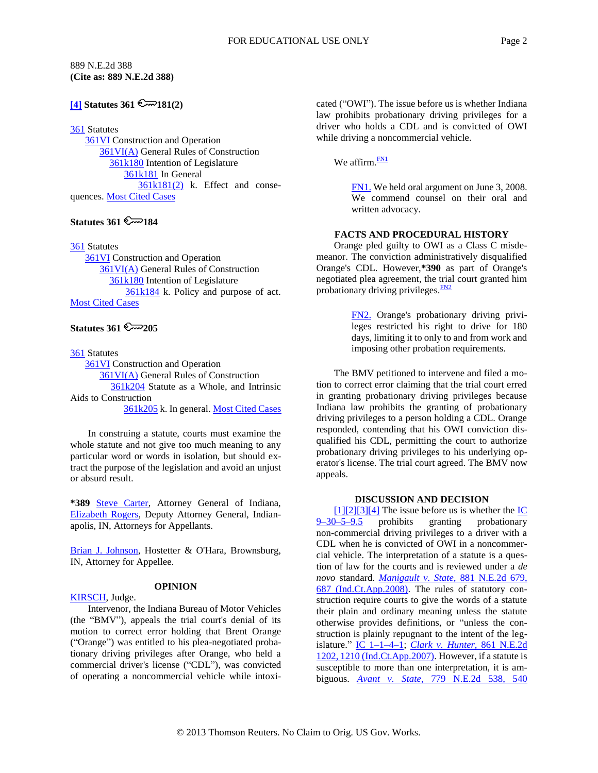### 889 N.E.2d 388 **(Cite as: 889 N.E.2d 388)**

# $[4]$  **Statutes 361**  $\mathbb{R}$  181(2)

## [361](http://www.westlaw.com/KeyNumber/Default.wl?rs=dfa1.0&vr=2.0&CMD=KEY&DocName=361) Statutes

[361VI](http://www.westlaw.com/KeyNumber/Default.wl?rs=dfa1.0&vr=2.0&CMD=KEY&DocName=361VI) Construction and Operation [361VI\(A\)](http://www.westlaw.com/KeyNumber/Default.wl?rs=dfa1.0&vr=2.0&CMD=KEY&DocName=361VI%28A%29) General Rules of Construction [361k180](http://www.westlaw.com/KeyNumber/Default.wl?rs=dfa1.0&vr=2.0&CMD=KEY&DocName=361k180) Intention of Legislature [361k181](http://www.westlaw.com/KeyNumber/Default.wl?rs=dfa1.0&vr=2.0&CMD=KEY&DocName=361k181) In General [361k181\(2\)](http://www.westlaw.com/KeyNumber/Default.wl?rs=dfa1.0&vr=2.0&CMD=KEY&DocName=361k181%282%29) k. Effect and conse-quences. [Most Cited Cases](http://www.westlaw.com/Digest/Default.wl?rs=dfa1.0&vr=2.0&CMD=MCC&DocName=361k181%282%29)

# **Statutes 361 2 184**

[361](http://www.westlaw.com/KeyNumber/Default.wl?rs=dfa1.0&vr=2.0&CMD=KEY&DocName=361) Statutes

[361VI](http://www.westlaw.com/KeyNumber/Default.wl?rs=dfa1.0&vr=2.0&CMD=KEY&DocName=361VI) Construction and Operation [361VI\(A\)](http://www.westlaw.com/KeyNumber/Default.wl?rs=dfa1.0&vr=2.0&CMD=KEY&DocName=361VI%28A%29) General Rules of Construction [361k180](http://www.westlaw.com/KeyNumber/Default.wl?rs=dfa1.0&vr=2.0&CMD=KEY&DocName=361k180) Intention of Legislature [361k184](http://www.westlaw.com/KeyNumber/Default.wl?rs=dfa1.0&vr=2.0&CMD=KEY&DocName=361k184) k. Policy and purpose of act. [Most Cited Cases](http://www.westlaw.com/Digest/Default.wl?rs=dfa1.0&vr=2.0&CMD=MCC&DocName=361k184)

# **Statutes 361 205**

[361](http://www.westlaw.com/KeyNumber/Default.wl?rs=dfa1.0&vr=2.0&CMD=KEY&DocName=361) Statutes

**[361VI](http://www.westlaw.com/KeyNumber/Default.wl?rs=dfa1.0&vr=2.0&CMD=KEY&DocName=361VI)** Construction and Operation [361VI\(A\)](http://www.westlaw.com/KeyNumber/Default.wl?rs=dfa1.0&vr=2.0&CMD=KEY&DocName=361VI%28A%29) General Rules of Construction [361k204](http://www.westlaw.com/KeyNumber/Default.wl?rs=dfa1.0&vr=2.0&CMD=KEY&DocName=361k204) Statute as a Whole, and Intrinsic Aids to Construction

[361k205](http://www.westlaw.com/KeyNumber/Default.wl?rs=dfa1.0&vr=2.0&CMD=KEY&DocName=361k205) k. In general. [Most Cited Cases](http://www.westlaw.com/Digest/Default.wl?rs=dfa1.0&vr=2.0&CMD=MCC&DocName=361k205)

In construing a statute, courts must examine the whole statute and not give too much meaning to any particular word or words in isolation, but should extract the purpose of the legislation and avoid an unjust or absurd result.

**\*389** [Steve Carter,](http://www.westlaw.com/Find/Default.wl?rs=dfa1.0&vr=2.0&DB=PROFILER-WLD&DocName=0367394801&FindType=h) Attorney General of Indiana, [Elizabeth Rogers,](http://www.westlaw.com/Find/Default.wl?rs=dfa1.0&vr=2.0&DB=PROFILER-WLD&DocName=0464289701&FindType=h) Deputy Attorney General, Indianapolis, IN, Attorneys for Appellants.

[Brian J. Johnson,](http://www.westlaw.com/Find/Default.wl?rs=dfa1.0&vr=2.0&DB=PROFILER-WLD&DocName=0423895601&FindType=h) Hostetter & O'Hara, Brownsburg, IN, Attorney for Appellee.

### **OPINION**

[KIRSCH,](http://www.westlaw.com/Find/Default.wl?rs=dfa1.0&vr=2.0&DB=PROFILER-WLD&DocName=0169261001&FindType=h) Judge.

Intervenor, the Indiana Bureau of Motor Vehicles (the "BMV"), appeals the trial court's denial of its motion to correct error holding that Brent Orange ("Orange") was entitled to his plea-negotiated probationary driving privileges after Orange, who held a commercial driver's license ("CDL"), was convicted of operating a noncommercial vehicle while intoxicated ("OWI"). The issue before us is whether Indiana law prohibits probationary driving privileges for a driver who holds a CDL and is convicted of OWI while driving a noncommercial vehicle.

We affirm. $\frac{FN1}{FN}$  $\frac{FN1}{FN}$  $\frac{FN1}{FN}$ 

<span id="page-1-5"></span><span id="page-1-4"></span>[FN1.](#page-1-5) We held oral argument on June 3, 2008. We commend counsel on their oral and written advocacy.

### **FACTS AND PROCEDURAL HISTORY**

Orange pled guilty to OWI as a Class C misdemeanor. The conviction administratively disqualified Orange's CDL. However,**\*390** as part of Orange's negotiated plea agreement, the trial court granted him probationary driving privileges. $\frac{FN2}{FN}$  $\frac{FN2}{FN}$  $\frac{FN2}{FN}$ 

> <span id="page-1-7"></span><span id="page-1-6"></span>[FN2.](#page-1-7) Orange's probationary driving privileges restricted his right to drive for 180 days, limiting it to only to and from work and imposing other probation requirements.

The BMV petitioned to intervene and filed a motion to correct error claiming that the trial court erred in granting probationary driving privileges because Indiana law prohibits the granting of probationary driving privileges to a person holding a CDL. Orange responded, contending that his OWI conviction disqualified his CDL, permitting the court to authorize probationary driving privileges to his underlying operator's license. The trial court agreed. The BMV now appeals.

### <span id="page-1-3"></span><span id="page-1-2"></span><span id="page-1-1"></span><span id="page-1-0"></span>**DISCUSSION AND DECISION**

[\[1\]\[2\]](#page-0-0)[\[3\]\[4\]](#page-0-1) The issue before us is whether the  $\underline{IC}$ <br> $\underline{D-5-9.5}$  prohibits granting probationary  $9-30-5-9.5$  prohibits granting probationary non-commercial driving privileges to a driver with a CDL when he is convicted of OWI in a noncommercial vehicle. The interpretation of a statute is a question of law for the courts and is reviewed under a *de novo* standard. *[Manigault v. State,](http://www.westlaw.com/Find/Default.wl?rs=dfa1.0&vr=2.0&DB=578&FindType=Y&ReferencePositionType=S&SerialNum=2015312843&ReferencePosition=687)* [881 N.E.2d 679,](http://www.westlaw.com/Find/Default.wl?rs=dfa1.0&vr=2.0&DB=578&FindType=Y&ReferencePositionType=S&SerialNum=2015312843&ReferencePosition=687)  [687 \(Ind.Ct.App.2008\).](http://www.westlaw.com/Find/Default.wl?rs=dfa1.0&vr=2.0&DB=578&FindType=Y&ReferencePositionType=S&SerialNum=2015312843&ReferencePosition=687) The rules of statutory construction require courts to give the words of a statute their plain and ordinary meaning unless the statute otherwise provides definitions, or "unless the construction is plainly repugnant to the intent of the legislature." [IC 1–1–4–1;](http://www.westlaw.com/Find/Default.wl?rs=dfa1.0&vr=2.0&DB=1000009&DocName=INS1-1-4-1&FindType=L) *[Clark v. Hunter,](http://www.westlaw.com/Find/Default.wl?rs=dfa1.0&vr=2.0&DB=578&FindType=Y&ReferencePositionType=S&SerialNum=2011534729&ReferencePosition=1210)* [861 N.E.2d](http://www.westlaw.com/Find/Default.wl?rs=dfa1.0&vr=2.0&DB=578&FindType=Y&ReferencePositionType=S&SerialNum=2011534729&ReferencePosition=1210)  [1202, 1210 \(Ind.Ct.App.2007\).](http://www.westlaw.com/Find/Default.wl?rs=dfa1.0&vr=2.0&DB=578&FindType=Y&ReferencePositionType=S&SerialNum=2011534729&ReferencePosition=1210) However, if a statute is susceptible to more than one interpretation, it is ambiguous. *[Avant v. State,](http://www.westlaw.com/Find/Default.wl?rs=dfa1.0&vr=2.0&DB=578&FindType=Y&ReferencePositionType=S&SerialNum=2002734737&ReferencePosition=540)* [779 N.E.2d 538, 540](http://www.westlaw.com/Find/Default.wl?rs=dfa1.0&vr=2.0&DB=578&FindType=Y&ReferencePositionType=S&SerialNum=2002734737&ReferencePosition=540)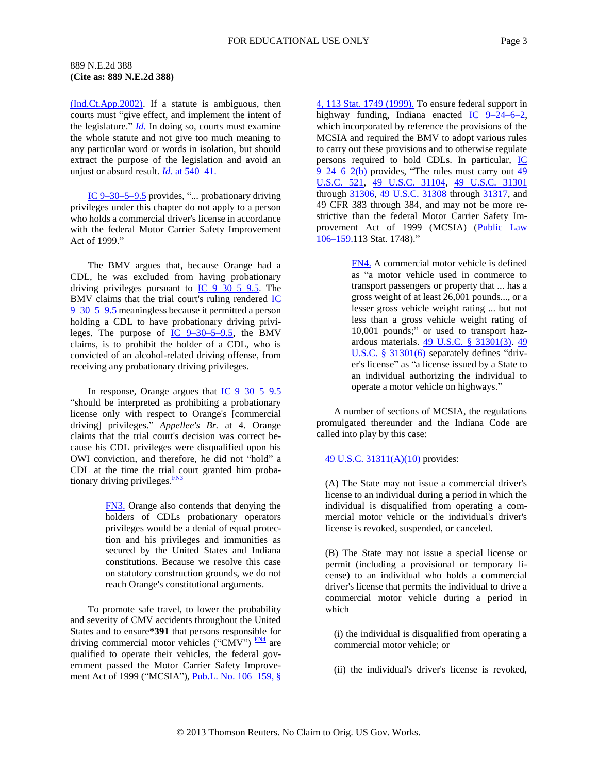### 889 N.E.2d 388 **(Cite as: 889 N.E.2d 388)**

[\(Ind.Ct.App.2002\).](http://www.westlaw.com/Find/Default.wl?rs=dfa1.0&vr=2.0&DB=578&FindType=Y&ReferencePositionType=S&SerialNum=2002734737&ReferencePosition=540) If a statute is ambiguous, then courts must "give effect, and implement the intent of the legislature." *[Id.](http://www.westlaw.com/Find/Default.wl?rs=dfa1.0&vr=2.0&FindType=Y&SerialNum=2002734737)* In doing so, courts must examine the whole statute and not give too much meaning to any particular word or words in isolation, but should extract the purpose of the legislation and avoid an unjust or absurd result. *[Id.](http://www.westlaw.com/Find/Default.wl?rs=dfa1.0&vr=2.0&FindType=Y&SerialNum=2002734737)* [at 540–41.](http://www.westlaw.com/Find/Default.wl?rs=dfa1.0&vr=2.0&FindType=Y&SerialNum=2002734737)

IC 9-30-5-9.5 provides, "... probationary driving privileges under this chapter do not apply to a person who holds a commercial driver's license in accordance with the federal Motor Carrier Safety Improvement Act of 1999."

The BMV argues that, because Orange had a CDL, he was excluded from having probationary driving privileges pursuant to [IC 9–30–5–9.5.](http://www.westlaw.com/Find/Default.wl?rs=dfa1.0&vr=2.0&DB=1000009&DocName=INS9-30-5-9.5&FindType=L) The BMV claims that the trial court's ruling rendered  $IC$ [9–30–5–9.5](http://www.westlaw.com/Find/Default.wl?rs=dfa1.0&vr=2.0&DB=1000009&DocName=INS9-30-5-9.5&FindType=L) meaningless because it permitted a person holding a CDL to have probationary driving privileges. The purpose of  $\underline{IC}$  9–30–5–9.5, the BMV claims, is to prohibit the holder of a CDL, who is convicted of an alcohol-related driving offense, from receiving any probationary driving privileges.

In response, Orange argues that [IC 9–30–5–9.5](http://www.westlaw.com/Find/Default.wl?rs=dfa1.0&vr=2.0&DB=1000009&DocName=INS9-30-5-9.5&FindType=L) "should be interpreted as prohibiting a probationary license only with respect to Orange's [commercial driving] privileges." *Appellee's Br.* at 4. Orange claims that the trial court's decision was correct because his CDL privileges were disqualified upon his OWI conviction, and therefore, he did not "hold" a CDL at the time the trial court granted him probationary driving privileges. $\frac{FN3}{FN3}$  $\frac{FN3}{FN3}$  $\frac{FN3}{FN3}$ 

> <span id="page-2-1"></span><span id="page-2-0"></span>[FN3.](#page-2-1) Orange also contends that denying the holders of CDLs probationary operators privileges would be a denial of equal protection and his privileges and immunities as secured by the United States and Indiana constitutions. Because we resolve this case on statutory construction grounds, we do not reach Orange's constitutional arguments.

To promote safe travel, to lower the probability and severity of CMV accidents throughout the United States and to ensure**\*391** that persons responsible for driving commercial motor vehicles ("CMV")  $\frac{FN4}{FN}$  $\frac{FN4}{FN}$  $\frac{FN4}{FN}$  are qualified to operate their vehicles, the federal government passed the Motor Carrier Safety Improvement Act of 1999 ("MCSIA"), *Pub.L. No.* 106-159, § [4, 113 Stat. 1749 \(1999\).](http://www.westlaw.com/Find/Default.wl?rs=dfa1.0&vr=2.0&DB=1077005&DocName=UU%28I0E58750027-494A32B1777-39EA3A8335C%29&FindType=l) To ensure federal support in highway funding, Indiana enacted [IC 9–24–6–2,](http://www.westlaw.com/Find/Default.wl?rs=dfa1.0&vr=2.0&DB=1000009&DocName=INS9-24-6-2&FindType=L) which incorporated by reference the provisions of the MCSIA and required the BMV to adopt various rules to carry out these provisions and to otherwise regulate persons required to hold CDLs. In particular, [IC](http://www.westlaw.com/Find/Default.wl?rs=dfa1.0&vr=2.0&DB=1000009&DocName=INS9-24-6-2&FindType=L&ReferencePositionType=T&ReferencePosition=SP_a83b000018c76)   $\frac{9-24-6-2(b)}{1}$  provides, "The rules must carry out  $\frac{49}{1}$ [U.S.C. 521,](http://www.westlaw.com/Find/Default.wl?rs=dfa1.0&vr=2.0&DB=1000546&DocName=49USCAS521&FindType=L) [49 U.S.C. 31104,](http://www.westlaw.com/Find/Default.wl?rs=dfa1.0&vr=2.0&DB=1000546&DocName=49USCAS31104&FindType=L) [49 U.S.C. 31301](http://www.westlaw.com/Find/Default.wl?rs=dfa1.0&vr=2.0&DB=1000546&DocName=49USCAS31301&FindType=L) through [31306,](http://www.westlaw.com/Find/Default.wl?rs=dfa1.0&vr=2.0&DB=1000546&DocName=49USCAS31306&FindType=L) [49 U.S.C. 31308](http://www.westlaw.com/Find/Default.wl?rs=dfa1.0&vr=2.0&DB=1000546&DocName=49USCAS31308&FindType=L) through [31317,](http://www.westlaw.com/Find/Default.wl?rs=dfa1.0&vr=2.0&DB=1000546&DocName=49USCAS31317&FindType=L) and 49 CFR 383 through 384, and may not be more restrictive than the federal Motor Carrier Safety Improvement Act of 1999 (MCSIA) (Public Law [106–159.1](http://www.westlaw.com/Find/Default.wl?rs=dfa1.0&vr=2.0&DB=1077005&DocName=UU%28I0E58750027-494A32B1777-39EA3A8335C%29&FindType=l)13 Stat. 1748)."

> <span id="page-2-2"></span>[FN4.](#page-2-3) A commercial motor vehicle is defined as "a motor vehicle used in commerce to transport passengers or property that ... has a gross weight of at least 26,001 pounds..., or a lesser gross vehicle weight rating ... but not less than a gross vehicle weight rating of 10,001 pounds;" or used to transport hazardous materials. [49 U.S.C. § 31301\(3\).](http://www.westlaw.com/Find/Default.wl?rs=dfa1.0&vr=2.0&DB=1000546&DocName=49USCAS31301&FindType=L&ReferencePositionType=T&ReferencePosition=SP_d08f0000f5f67) [49](http://www.westlaw.com/Find/Default.wl?rs=dfa1.0&vr=2.0&DB=1000546&DocName=49USCAS31301&FindType=L&ReferencePositionType=T&ReferencePosition=SP_1e9a0000fd6a3)  [U.S.C. § 31301\(6\)](http://www.westlaw.com/Find/Default.wl?rs=dfa1.0&vr=2.0&DB=1000546&DocName=49USCAS31301&FindType=L&ReferencePositionType=T&ReferencePosition=SP_1e9a0000fd6a3) separately defines "driver's license" as "a license issued by a State to an individual authorizing the individual to operate a motor vehicle on highways."

A number of sections of MCSIA, the regulations promulgated thereunder and the Indiana Code are called into play by this case:

### [49 U.S.C. 31311\(A\)\(10\)](http://www.westlaw.com/Find/Default.wl?rs=dfa1.0&vr=2.0&DB=1000546&DocName=49USCAS31311&FindType=L) provides:

(A) The State may not issue a commercial driver's license to an individual during a period in which the individual is disqualified from operating a commercial motor vehicle or the individual's driver's license is revoked, suspended, or canceled.

(B) The State may not issue a special license or permit (including a provisional or temporary license) to an individual who holds a commercial driver's license that permits the individual to drive a commercial motor vehicle during a period in which—

<span id="page-2-3"></span>(i) the individual is disqualified from operating a commercial motor vehicle; or

(ii) the individual's driver's license is revoked,